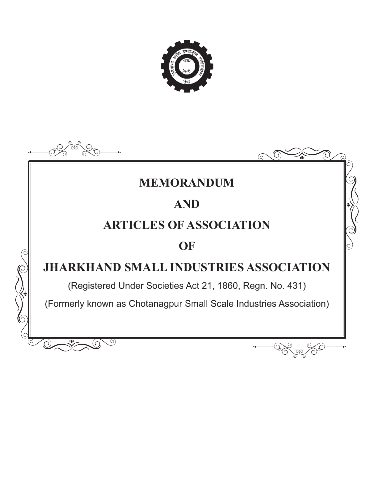

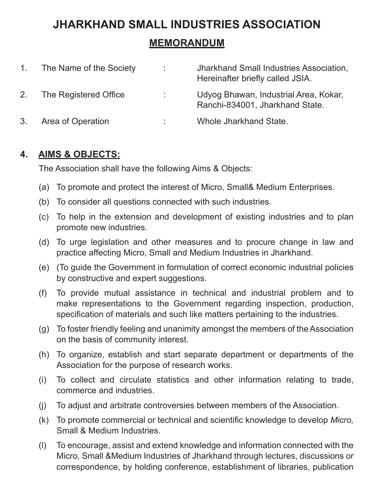# **JHARKHAND SMALL INDUSTRIES ASSOCIATION**

# **MEMORANDUM**

| $1_{\cdot}$ | The Name of the Society | Jharkhand Small Industries Association,<br>Hereinafter briefly called JSIA. |
|-------------|-------------------------|-----------------------------------------------------------------------------|
| 2.          | The Registered Office   | Udyog Bhawan, Industrial Area, Kokar,<br>Ranchi-834001, Jharkhand State.    |
| 3.          | Area of Operation       | Whole Jharkhand State.                                                      |

#### **4. AIMS & OBJECTS:**

The Association shall have the following Aims & Objects:

- (a) To promote and protect the interest of Micro, Small& Medium Enterprises.
- (b) To consider all questions connected with such industries.
- (c) To help in the extension and development of existing industries and to plan promote new industries.
- (d) To urge legislation and other measures and to procure change in law and practice affecting Micro, Small and Medium Industries in Jharkhand.
- (e) (To guide the Government in formulation of correct economic industrial policies by constructive and expert suggestions.
- (f) To provide mutual assistance in technical and industrial problem and to make representations to the Government regarding inspection, production, specification of materials and such like matters pertaining to the industries.
- (g) To foster friendly feeling and unanimity amongst the members of the Association on the basis of community interest.
- (h) To organize, establish and start separate department or departments of the Association for the purpose of research works.
- (i) To collect and circulate statistics and other information relating to trade, commerce and industries.
- (j) To adjust and arbitrate controversies between members of the Association.
- (k) To promote commercial or technical and scientific knowledge to develop *Micro,*  Small & Medium Industries.
- (l) To encourage, assist and extend knowledge and information connected with the Micro*,* Small &Medium Industries of Jharkhand through lectures, discussions or correspondence, by holding conference, establishment of libraries, publication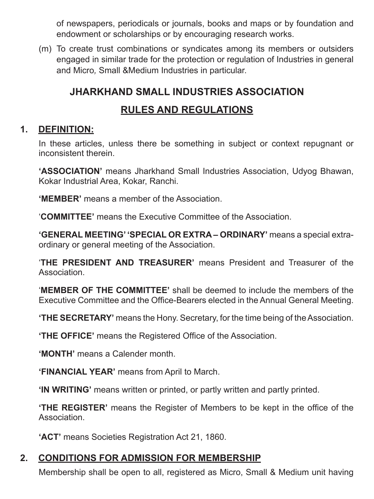of newspapers, periodicals or journals, books and maps or by foundation and endowment or scholarships or by encouraging research works.

(m) To create trust combinations or syndicates among its members or outsiders engaged in similar trade for the protection or regulation of Industries in general and Micro*,* Small &Medium Industries in particular.

# **JHARKHAND SMALL INDUSTRIES ASSOCIATION**

# **RULES AND REGULATIONS**

# **1. DEFINITION:**

In these articles, unless there be something in subject or context repugnant or inconsistent therein.

**'ASSOCIATION'** means Jharkhand Small Industries Association, Udyog Bhawan, Kokar Industrial Area, Kokar, Ranchi.

**'MEMBER'** means a member of the Association.

'**COMMITTEE'** means the Executive Committee of the Association.

**'GENERAL MEETING' 'SPECIAL OR EXTRA – ORDINARY'** means a special extraordinary or general meeting of the Association.

'**THE PRESIDENT AND TREASURER'** means President and Treasurer of the **Association** 

'**MEMBER OF THE COMMITTEE'** shall be deemed to include the members of the Executive Committee and the Office-Bearers elected in the Annual General Meeting.

**'THE SECRETARY'** means the Hony. Secretary, for the time being of the Association.

**'THE OFFICE'** means the Registered Office of the Association.

**'MONTH'** means a Calender month.

**'FINANCIAL YEAR'** means from April to March.

**'IN WRITING'** means written or printed, or partly written and partly printed.

**'THE REGISTER'** means the Register of Members to be kept in the office of the **Association** 

**'ACT'** means Societies Registration Act 21, 1860.

#### **2. CONDITIONS FOR ADMISSION FOR MEMBERSHIP**

Membership shall be open to all, registered as Micro, Small & Medium unit having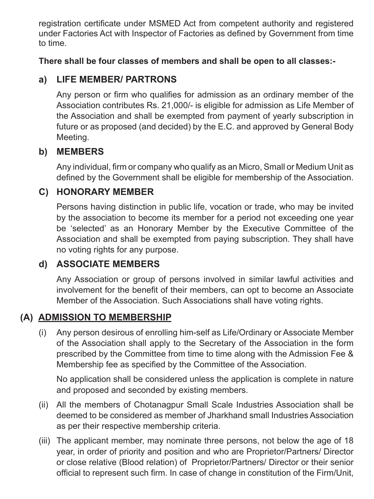registration certificate under MSMED Act from competent authority and registered under Factories Act with Inspector of Factories as defined by Government from time to time.

**There shall be four classes of members and shall be open to all classes:-**

# **a) LIFE MEMBER/ PARTRONS**

 Any person or firm who qualifies for admission as an ordinary member of the Association contributes Rs. 21,000/- is eligible for admission as Life Member of the Association and shall be exempted from payment of yearly subscription in future or as proposed (and decided) by the E.C. and approved by General Body Meeting.

# **b) MEMBERS**

 Any individual, firm or company who qualify as an Micro, Small or Medium Unit as defined by the Government shall be eligible for membership of the Association.

# **C) HONORARY MEMBER**

Persons having distinction in public life, vocation or trade, who may be invited by the association to become its member for a period not exceeding one year be 'selected' as an Honorary Member by the Executive Committee of the Association and shall be exempted from paying subscription. They shall have no voting rights for any purpose.

# **d) ASSOCIATE MEMBERS**

Any Association or group of persons involved in similar lawful activities and involvement for the benefit of their members, can opt to become an Associate Member of the Association. Such Associations shall have voting rights.

# **(A) ADMISSION TO MEMBERSHIP**

(i) Any person desirous of enrolling him-self as Life/Ordinary or Associate Member of the Association shall apply to the Secretary of the Association in the form prescribed by the Committee from time to time along with the Admission Fee & Membership fee as specified by the Committee of the Association.

No application shall be considered unless the application is complete in nature and proposed and seconded by existing members.

- (ii) All the members of Chotanagpur Small Scale Industries Association shall be deemed to be considered as member of Jharkhand small Industries Association as per their respective membership criteria.
- (iii) The applicant member, may nominate three persons, not below the age of 18 year, in order of priority and position and who are Proprietor/Partners/ Director or close relative (Blood relation) of Proprietor/Partners/ Director or their senior official to represent such firm. In case of change in constitution of the Firm/Unit,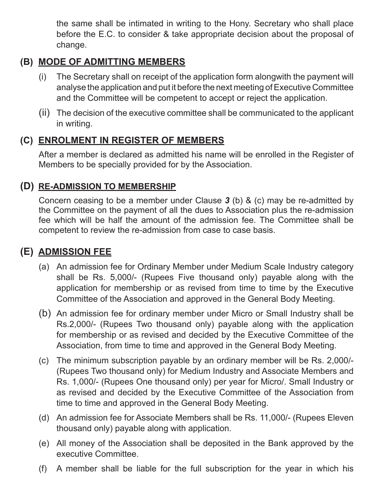the same shall be intimated in writing to the Hony. Secretary who shall place before the E.C. to consider & take appropriate decision about the proposal of change.

# **(B) MODE OF ADMITTING MEMBERS**

- (i) The Secretary shall on receipt of the application form alongwith the payment will analyse the application and put it before the next meeting of Executive Committee and the Committee will be competent to accept or reject the application.
- (ii) The decision of the executive committee shall be communicated to the applicant in writing.

# **(C) ENROLMENT IN REGISTER OF MEMBERS**

After a member is declared as admitted his name will be enrolled in the Register of Members to be specially provided for by the Association.

#### **(D) RE-ADMISSION TO MEMBERSHIP**

Concern ceasing to be a member under Clause *3* (b) & (c) may be re-admitted by the Committee on the payment of all the dues to Association plus the re-admission fee which will be half the amount of the admission fee. The Committee shall be competent to review the re-admission from case to case basis.

# **(E) ADMISSION FEE**

- (a) An admission fee for Ordinary Member under Medium Scale Industry category shall be Rs. 5,000/- (Rupees Five thousand only) payable along with the application for membership or as revised from time to time by the Executive Committee of the Association and approved in the General Body Meeting.
- (b) An admission fee for ordinary member under Micro or Small Industry shall be Rs.2,000/- (Rupees Two thousand only) payable along with the application for membership or as revised and decided by the Executive Committee of the Association, from time to time and approved in the General Body Meeting.
- (c) The minimum subscription payable by an ordinary member will be Rs. 2,000/- (Rupees Two thousand only) for Medium Industry and Associate Members and Rs. 1,000/- (Rupees One thousand only) per year for Micro/. Small Industry or as revised and decided by the Executive Committee of the Association from time to time and approved in the General Body Meeting.
- (d) An admission fee for Associate Members shall be Rs. 11,000/- (Rupees Eleven thousand only) payable along with application.
- (e) All money of the Association shall be deposited in the Bank approved by the executive Committee.
- (f) A member shall be liable for the full subscription for the year in which his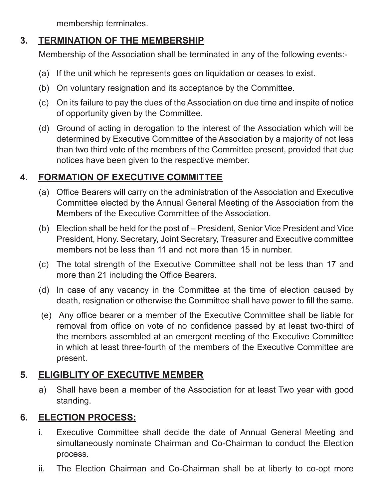membership terminates.

# **3. TERMINATION OF THE MEMBERSHIP**

Membership of the Association shall be terminated in any of the following events:-

- (a) If the unit which he represents goes on liquidation or ceases to exist.
- (b) On voluntary resignation and its acceptance by the Committee.
- (c) On its failure to pay the dues of the Association on due time and inspite of notice of opportunity given by the Committee.
- (d) Ground of acting in derogation to the interest of the Association which will be determined by Executive Committee of the Association by a majority of not less than two third vote of the members of the Committee present, provided that due notices have been given to the respective member.

# **4. FORMATION OF EXECUTIVE COMMITTEE**

- (a) Office Bearers will carry on the administration of the Association and Executive Committee elected by the Annual General Meeting of the Association from the Members of the Executive Committee of the Association.
- (b) Election shall be held for the post of President, Senior Vice President and Vice President, Hony. Secretary, Joint Secretary, Treasurer and Executive committee members not be less than 11 and not more than 15 in number.
- (c) The total strength of the Executive Committee shall not be less than 17 and more than 21 including the Office Bearers.
- (d) In case of any vacancy in the Committee at the time of election caused by death, resignation or otherwise the Committee shall have power to fill the same.
- (e) Any office bearer or a member of the Executive Committee shall be liable for removal from office on vote of no confidence passed by at least two-third of the members assembled at an emergent meeting of the Executive Committee in which at least three-fourth of the members of the Executive Committee are present.

# **5. ELIGIBLITY OF EXECUTIVE MEMBER**

a) Shall have been a member of the Association for at least Two year with good standing.

#### **6. ELECTION PROCESS:**

- i. Executive Committee shall decide the date of Annual General Meeting and simultaneously nominate Chairman and Co-Chairman to conduct the Election process.
- ii. The Election Chairman and Co-Chairman shall be at liberty to co-opt more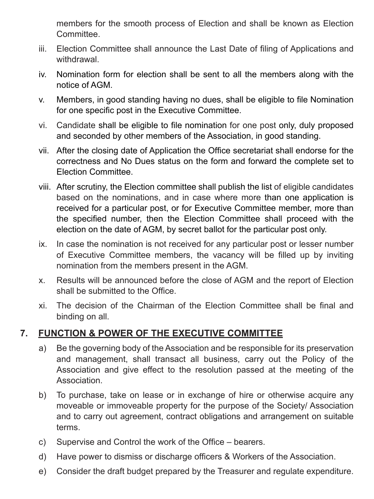members for the smooth process of Election and shall be known as Election **Committee.** 

- iii. Election Committee shall announce the Last Date of filing of Applications and withdrawal.
- iv. Nomination form for election shall be sent to all the members along with the notice of AGM.
- v. Members, in good standing having no dues, shall be eligible to file Nomination for one specific post in the Executive Committee.
- vi. Candidate shall be eligible to file nomination for one post only, duly proposed and seconded by other members of the Association, in good standing.
- vii. After the closing date of Application the Office secretariat shall endorse for the correctness and No Dues status on the form and forward the complete set to Election Committee.
- viii. After scrutiny, the Election committee shall publish the list of eligible candidates based on the nominations, and in case where more than one application is received for a particular post, or for Executive Committee member, more than the specified number, then the Election Committee shall proceed with the election on the date of AGM, by secret ballot for the particular post only.
- ix. In case the nomination is not received for any particular post or lesser number of Executive Committee members, the vacancy will be filled up by inviting nomination from the members present in the AGM.
- x. Results will be announced before the close of AGM and the report of Election shall be submitted to the Office.
- xi. The decision of the Chairman of the Election Committee shall be final and binding on all.

#### **7. FUNCTION & POWER OF THE EXECUTIVE COMMITTEE**

- a) Be the governing body of the Association and be responsible for its preservation and management, shall transact all business, carry out the Policy of the Association and give effect to the resolution passed at the meeting of the Association.
- b) To purchase, take on lease or in exchange of hire or otherwise acquire any moveable or immoveable property for the purpose of the Society/ Association and to carry out agreement, contract obligations and arrangement on suitable terms.
- c) Supervise and Control the work of the Office bearers.
- d) Have power to dismiss or discharge officers & Workers of the Association.
- e) Consider the draft budget prepared by the Treasurer and regulate expenditure.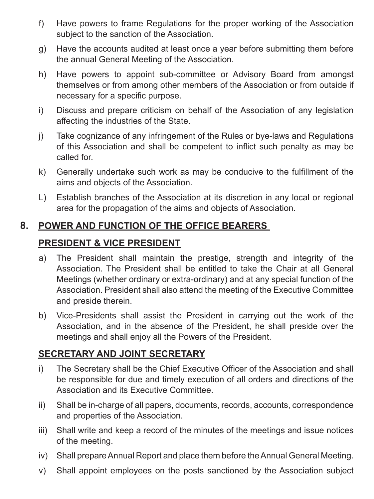- f) Have powers to frame Regulations for the proper working of the Association subject to the sanction of the Association.
- g) Have the accounts audited at least once a year before submitting them before the annual General Meeting of the Association.
- h) Have powers to appoint sub-committee or Advisory Board from amongst themselves or from among other members of the Association or from outside if necessary for a specific purpose.
- i) Discuss and prepare criticism on behalf of the Association of any legislation affecting the industries of the State.
- j) Take cognizance of any infringement of the Rules or bye-laws and Regulations of this Association and shall be competent to inflict such penalty as may be called for.
- k) Generally undertake such work as may be conducive to the fulfillment of the aims and objects of the Association.
- L) Establish branches of the Association at its discretion in any local or regional area for the propagation of the aims and objects of Association.

# **8. POWER AND FUNCTION OF THE OFFICE BEARERS**

#### **PRESIDENT & VICE PRESIDENT**

- a) The President shall maintain the prestige, strength and integrity of the Association. The President shall be entitled to take the Chair at all General Meetings (whether ordinary or extra-ordinary) and at any special function of the Association. President shall also attend the meeting of the Executive Committee and preside therein.
- b) Vice-Presidents shall assist the President in carrying out the work of the Association, and in the absence of the President, he shall preside over the meetings and shall enjoy all the Powers of the President.

#### **SECRETARY AND JOINT SECRETARY**

- i) The Secretary shall be the Chief Executive Officer of the Association and shall be responsible for due and timely execution of all orders and directions of the Association and its Executive Committee.
- ii) Shall be in-charge of all papers, documents, records, accounts, correspondence and properties of the Association.
- iii) Shall write and keep a record of the minutes of the meetings and issue notices of the meeting.
- iv) Shall prepare Annual Report and place them before the Annual General Meeting.
- v) Shall appoint employees on the posts sanctioned by the Association subject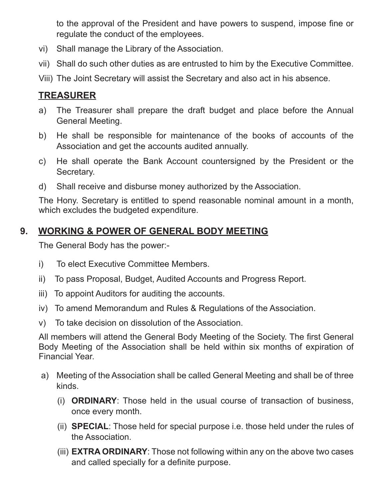to the approval of the President and have powers to suspend, impose fine or regulate the conduct of the employees.

- vi) Shall manage the Library of the Association.
- vii) Shall do such other duties as are entrusted to him by the Executive Committee.
- Viii) The Joint Secretary will assist the Secretary and also act in his absence.

# **TREASURER**

- a) The Treasurer shall prepare the draft budget and place before the Annual General Meeting.
- b) He shall be responsible for maintenance of the books of accounts of the Association and get the accounts audited annually.
- c) He shall operate the Bank Account countersigned by the President or the Secretary.
- d) Shall receive and disburse money authorized by the Association.

The Hony. Secretary is entitled to spend reasonable nominal amount in a month, which excludes the budgeted expenditure.

#### **9. WORKING & POWER OF GENERAL BODY MEETING**

The General Body has the power:-

- i) To elect Executive Committee Members.
- ii) To pass Proposal, Budget, Audited Accounts and Progress Report.
- iii) To appoint Auditors for auditing the accounts.
- iv) To amend Memorandum and Rules & Regulations of the Association.
- v) To take decision on dissolution of the Association.

All members will attend the General Body Meeting of the Society. The first General Body Meeting of the Association shall be held within six months of expiration of Financial Year.

- a) Meeting of the Association shall be called General Meeting and shall be of three kinds.
	- (i) **ORDINARY**: Those held in the usual course of transaction of business, once every month.
	- (ii) **SPECIAL**: Those held for special purpose i.e. those held under the rules of the Association.
	- (iii) **EXTRA ORDINARY**: Those not following within any on the above two cases and called specially for a definite purpose.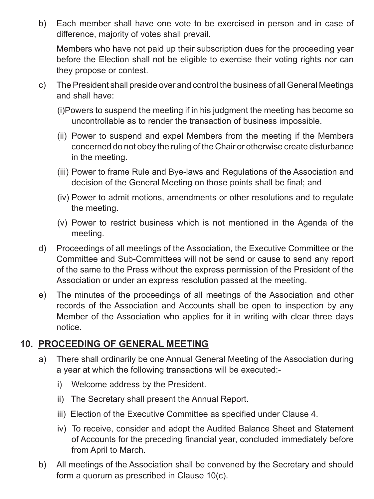b) Each member shall have one vote to be exercised in person and in case of difference, majority of votes shall prevail.

Members who have not paid up their subscription dues for the proceeding year before the Election shall not be eligible to exercise their voting rights nor can they propose or contest.

- c) The President shall preside over and control the business of all General Meetings and shall have:
	- (i)Powers to suspend the meeting if in his judgment the meeting has become so uncontrollable as to render the transaction of business impossible.
	- (ii) Power to suspend and expel Members from the meeting if the Members concerned do not obey the ruling of the Chair or otherwise create disturbance in the meeting.
	- (iii) Power to frame Rule and Bye-laws and Regulations of the Association and decision of the General Meeting on those points shall be final; and
	- (iv) Power to admit motions, amendments or other resolutions and to regulate the meeting.
	- (v) Power to restrict business which is not mentioned in the Agenda of the meeting.
- d) Proceedings of all meetings of the Association, the Executive Committee or the Committee and Sub-Committees will not be send or cause to send any report of the same to the Press without the express permission of the President of the Association or under an express resolution passed at the meeting.
- e) The minutes of the proceedings of all meetings of the Association and other records of the Association and Accounts shall be open to inspection by any Member of the Association who applies for it in writing with clear three days notice.

#### **10. PROCEEDING OF GENERAL MEETING**

- a) There shall ordinarily be one Annual General Meeting of the Association during a year at which the following transactions will be executed:
	- i) Welcome address by the President.
	- ii) The Secretary shall present the Annual Report.
	- iii) Election of the Executive Committee as specified under Clause 4.
	- iv) To receive, consider and adopt the Audited Balance Sheet and Statement of Accounts for the preceding financial year, concluded immediately before from April to March.
- b) All meetings of the Association shall be convened by the Secretary and should form a quorum as prescribed in Clause 10(c).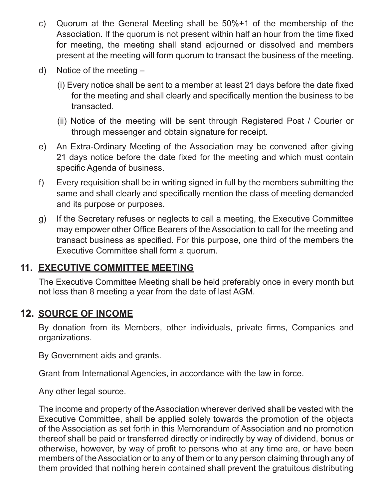- c) Quorum at the General Meeting shall be 50%+1 of the membership of the Association. If the quorum is not present within half an hour from the time fixed for meeting, the meeting shall stand adjourned or dissolved and members present at the meeting will form quorum to transact the business of the meeting.
- d) Notice of the meeting
	- (i) Every notice shall be sent to a member at least 21 days before the date fixed for the meeting and shall clearly and specifically mention the business to be transacted.
	- (ii) Notice of the meeting will be sent through Registered Post / Courier or through messenger and obtain signature for receipt.
- e) An Extra-Ordinary Meeting of the Association may be convened after giving 21 days notice before the date fixed for the meeting and which must contain specific Agenda of business.
- f) Every requisition shall be in writing signed in full by the members submitting the same and shall clearly and specifically mention the class of meeting demanded and its purpose or purposes.
- g) If the Secretary refuses or neglects to call a meeting, the Executive Committee may empower other Office Bearers of the Association to call for the meeting and transact business as specified. For this purpose, one third of the members the Executive Committee shall form a quorum.

#### **11. EXECUTIVE COMMITTEE MEETING**

The Executive Committee Meeting shall be held preferably once in every month but not less than 8 meeting a year from the date of last AGM.

#### **12. SOURCE OF INCOME**

By donation from its Members, other individuals, private firms, Companies and organizations.

By Government aids and grants.

Grant from International Agencies, in accordance with the law in force.

Any other legal source.

The income and property of the Association wherever derived shall be vested with the Executive Committee, shall be applied solely towards the promotion of the objects of the Association as set forth in this Memorandum of Association and no promotion thereof shall be paid or transferred directly or indirectly by way of dividend, bonus or otherwise, however, by way of profit to persons who at any time are, or have been members of the Association or to any of them or to any person claiming through any of them provided that nothing herein contained shall prevent the gratuitous distributing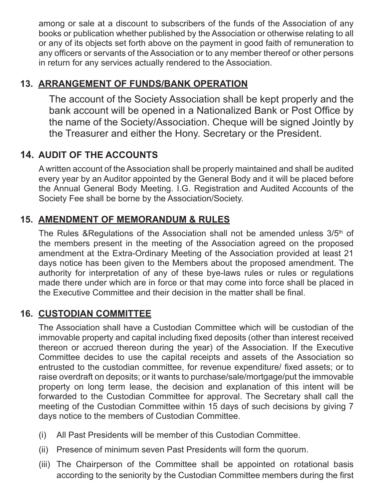among or sale at a discount to subscribers of the funds of the Association of any books or publication whether published by the Association or otherwise relating to all or any of its objects set forth above on the payment in good faith of remuneration to any officers or servants of the Association or to any member thereof or other persons in return for any services actually rendered to the Association.

# **13. ARRANGEMENT OF FUNDS/BANK OPERATION**

The account of the Society Association shall be kept properly and the bank account will be opened in a Nationalized Bank or Post Office by the name of the Society/Association. Cheque will be signed Jointly by the Treasurer and either the Hony. Secretary or the President.

# **14. AUDIT OF THE ACCOUNTS**

A written account of the Association shall be properly maintained and shall be audited every year by an Auditor appointed by the General Body and it will be placed before the Annual General Body Meeting. I.G. Registration and Audited Accounts of the Society Fee shall be borne by the Association/Society.

#### **15. AMENDMENT OF MEMORANDUM & RULES**

The Rules &Regulations of the Association shall not be amended unless 3/5<sup>th</sup> of the members present in the meeting of the Association agreed on the proposed amendment at the Extra-Ordinary Meeting of the Association provided at least 21 days notice has been given to the Members about the proposed amendment. The authority for interpretation of any of these bye-laws rules or rules or regulations made there under which are in force or that may come into force shall be placed in the Executive Committee and their decision in the matter shall be final.

#### **16. CUSTODIAN COMMITTEE**

The Association shall have a Custodian Committee which will be custodian of the immovable property and capital including fixed deposits (other than interest received thereon or accrued thereon during the year) of the Association. If the Executive Committee decides to use the capital receipts and assets of the Association so entrusted to the custodian committee, for revenue expenditure/ fixed assets; or to raise overdraft on deposits; or it wants to purchase/sale/mortgage/put the immovable property on long term lease, the decision and explanation of this intent will be forwarded to the Custodian Committee for approval. The Secretary shall call the meeting of the Custodian Committee within 15 days of such decisions by giving 7 days notice to the members of Custodian Committee.

- (i) All Past Presidents will be member of this Custodian Committee.
- (ii) Presence of minimum seven Past Presidents will form the quorum.
- (iii) The Chairperson of the Committee shall be appointed on rotational basis according to the seniority by the Custodian Committee members during the first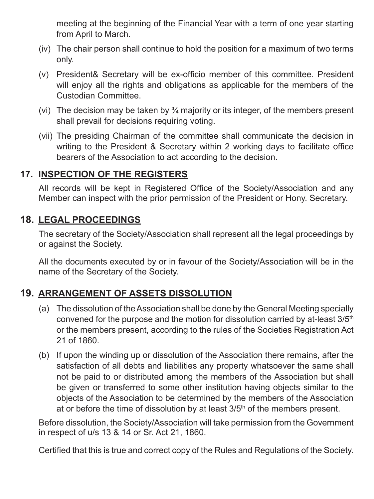meeting at the beginning of the Financial Year with a term of one year starting from April to March.

- (iv) The chair person shall continue to hold the position for a maximum of two terms only.
- (v) President& Secretary will be ex-officio member of this committee. President will enjoy all the rights and obligations as applicable for the members of the Custodian Committee.
- (vi) The decision may be taken by  $\frac{3}{4}$  majority or its integer, of the members present shall prevail for decisions requiring voting.
- (vii) The presiding Chairman of the committee shall communicate the decision in writing to the President & Secretary within 2 working days to facilitate office bearers of the Association to act according to the decision.

#### **17. INSPECTION OF THE REGISTERS**

All records will be kept in Registered Office of the Society/Association and any Member can inspect with the prior permission of the President or Hony. Secretary.

#### **18. LEGAL PROCEEDINGS**

The secretary of the Society/Association shall represent all the legal proceedings by or against the Society.

All the documents executed by or in favour of the Society/Association will be in the name of the Secretary of the Society.

#### **19. ARRANGEMENT OF ASSETS DISSOLUTION**

- (a) The dissolution of the Association shall be done by the General Meeting specially convened for the purpose and the motion for dissolution carried by at-least 3/5<sup>th</sup> or the members present, according to the rules of the Societies Registration Act 21 of 1860.
- (b) If upon the winding up or dissolution of the Association there remains, after the satisfaction of all debts and liabilities any property whatsoever the same shall not be paid to or distributed among the members of the Association but shall be given or transferred to some other institution having objects similar to the objects of the Association to be determined by the members of the Association at or before the time of dissolution by at least  $3/5<sup>th</sup>$  of the members present.

Before dissolution, the Society/Association will take permission from the Government in respect of u/s 13 & 14 or Sr. Act 21, 1860.

Certified that this is true and correct copy of the Rules and Regulations of the Society.